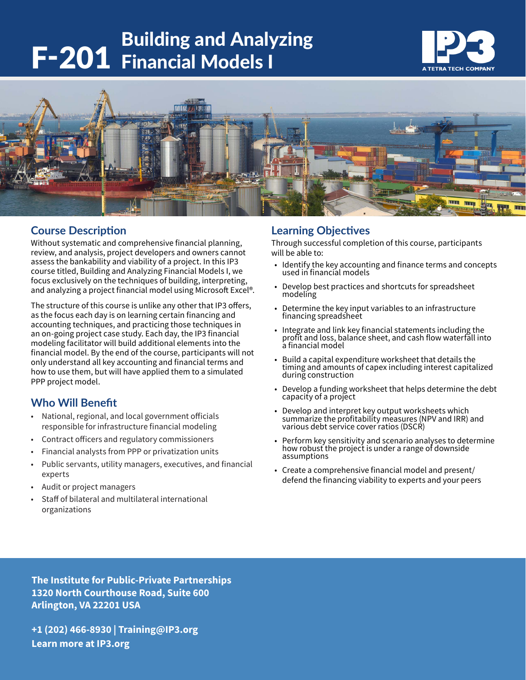# Building and Analyzing<br>**F-201** Financial Models I





## **Course Description**

Without systematic and comprehensive financial planning, review, and analysis, project developers and owners cannot assess the bankability and viability of a project. In this IP3 course titled, Building and Analyzing Financial Models I, we focus exclusively on the techniques of building, interpreting, and analyzing a project financial model using Microsoft Excel®.

The structure of this course is unlike any other that IP3 offers, as the focus each day is on learning certain financing and accounting techniques, and practicing those techniques in an on-going project case study. Each day, the IP3 financial modeling facilitator will build additional elements into the financial model. By the end of the course, participants will not only understand all key accounting and financial terms and how to use them, but will have applied them to a simulated PPP project model.

## **Who Will Benefit**

- National, regional, and local government officials responsible for infrastructure financial modeling
- Contract officers and regulatory commissioners
- Financial analysts from PPP or privatization units
- Public servants, utility managers, executives, and financial experts
- Audit or project managers
- Staff of bilateral and multilateral international organizations

#### **Learning Objectives**

Through successful completion of this course, participants will be able to:

- Identify the key accounting and finance terms and concepts used in financial models
- Develop best practices and shortcuts for spreadsheet modeling
- Determine the key input variables to an infrastructure financing spreadsheet
- Integrate and link key financial statements including the profit and loss, balance sheet, and cash flow waterfall into a financial model
- Build a capital expenditure worksheet that details the timing and amounts of capex including interest capitalized during construction
- Develop a funding worksheet that helps determine the debt capacity of a project
- Develop and interpret key output worksheets which summarize the profitability measures (NPV and IRR) and various debt service cover ratios (DSCR)
- Perform key sensitivity and scenario analyses to determine how robust the project is under a range of downside assumptions
- Create a comprehensive financial model and present/ defend the financing viability to experts and your peers

**The Institute for Public-Private Partnerships 1320 North Courthouse Road, Suite 600 Arlington, VA 22201 USA**

**+1 (202) 466-8930 | Training@IP3.org Learn more at IP3.org**